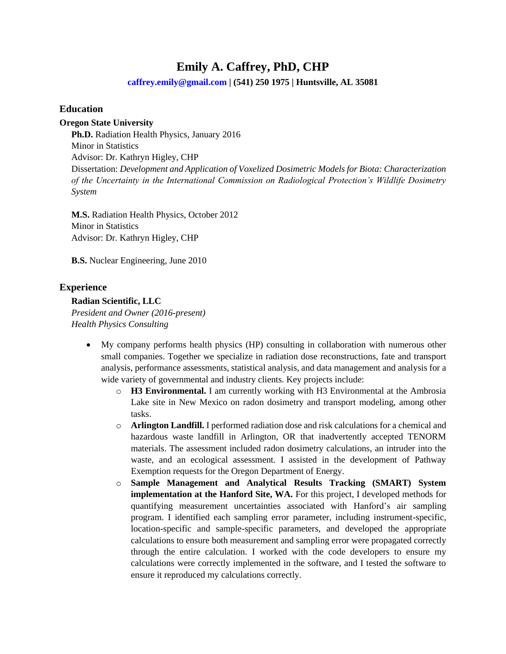# **Emily A. Caffrey, PhD, CHP**

**[caffrey.emily@gmail.com](mailto:caffrey.emily@gmail.com) | (541) 250 1975 | Huntsville, AL 35081**

#### **Education**

#### **Oregon State University**

**Ph.D.** Radiation Health Physics, January 2016 Minor in Statistics Advisor: Dr. Kathryn Higley, CHP Dissertation: *Development and Application of Voxelized Dosimetric Models for Biota: Characterization of the Uncertainty in the International Commission on Radiological Protection's Wildlife Dosimetry System*

**M.S.** Radiation Health Physics, October 2012 Minor in Statistics Advisor: Dr. Kathryn Higley, CHP

**B.S.** Nuclear Engineering, June 2010

#### **Experience**

#### **Radian Scientific, LLC**

*President and Owner (2016-present) Health Physics Consulting*

- My company performs health physics (HP) consulting in collaboration with numerous other small companies. Together we specialize in radiation dose reconstructions, fate and transport analysis, performance assessments, statistical analysis, and data management and analysis for a wide variety of governmental and industry clients. Key projects include:
	- o **H3 Environmental.** I am currently working with H3 Environmental at the Ambrosia Lake site in New Mexico on radon dosimetry and transport modeling, among other tasks.
	- o **Arlington Landfill.** I performed radiation dose and risk calculations for a chemical and hazardous waste landfill in Arlington, OR that inadvertently accepted TENORM materials. The assessment included radon dosimetry calculations, an intruder into the waste, and an ecological assessment. I assisted in the development of Pathway Exemption requests for the Oregon Department of Energy.
	- o **Sample Management and Analytical Results Tracking (SMART) System implementation at the Hanford Site, WA.** For this project, I developed methods for quantifying measurement uncertainties associated with Hanford's air sampling program. I identified each sampling error parameter, including instrument-specific, location-specific and sample-specific parameters, and developed the appropriate calculations to ensure both measurement and sampling error were propagated correctly through the entire calculation. I worked with the code developers to ensure my calculations were correctly implemented in the software, and I tested the software to ensure it reproduced my calculations correctly.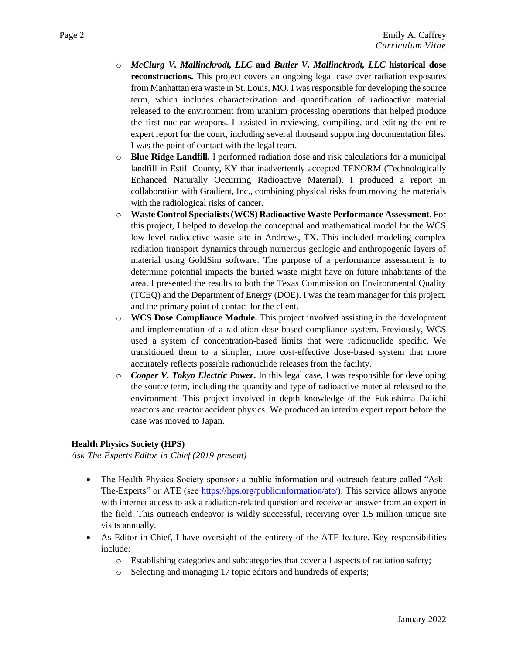- o *McClurg V. Mallinckrodt, LLC* **and** *Butler V. Mallinckrodt, LLC* **historical dose reconstructions.** This project covers an ongoing legal case over radiation exposures from Manhattan era waste in St. Louis, MO. I was responsible for developing the source term, which includes characterization and quantification of radioactive material released to the environment from uranium processing operations that helped produce the first nuclear weapons. I assisted in reviewing, compiling, and editing the entire expert report for the court, including several thousand supporting documentation files. I was the point of contact with the legal team.
- o **Blue Ridge Landfill.** I performed radiation dose and risk calculations for a municipal landfill in Estill County, KY that inadvertently accepted TENORM (Technologically Enhanced Naturally Occurring Radioactive Material). I produced a report in collaboration with Gradient, Inc., combining physical risks from moving the materials with the radiological risks of cancer.
- o **Waste Control Specialists (WCS) Radioactive Waste Performance Assessment.** For this project, I helped to develop the conceptual and mathematical model for the WCS low level radioactive waste site in Andrews, TX. This included modeling complex radiation transport dynamics through numerous geologic and anthropogenic layers of material using GoldSim software. The purpose of a performance assessment is to determine potential impacts the buried waste might have on future inhabitants of the area. I presented the results to both the Texas Commission on Environmental Quality (TCEQ) and the Department of Energy (DOE). I was the team manager for this project, and the primary point of contact for the client.
- o **WCS Dose Compliance Module.** This project involved assisting in the development and implementation of a radiation dose-based compliance system. Previously, WCS used a system of concentration-based limits that were radionuclide specific. We transitioned them to a simpler, more cost-effective dose-based system that more accurately reflects possible radionuclide releases from the facility.
- o *Cooper V. Tokyo Electric Power***.** In this legal case, I was responsible for developing the source term, including the quantity and type of radioactive material released to the environment. This project involved in depth knowledge of the Fukushima Daiichi reactors and reactor accident physics. We produced an interim expert report before the case was moved to Japan.

#### **Health Physics Society (HPS)**

*Ask-The-Experts Editor-in-Chief (2019-present)*

- The Health Physics Society sponsors a public information and outreach feature called "Ask-The-Experts" or ATE (see [https://hps.org/publicinformation/ate/\)](https://hps.org/publicinformation/ate/). This service allows anyone with internet access to ask a radiation-related question and receive an answer from an expert in the field. This outreach endeavor is wildly successful, receiving over 1.5 million unique site visits annually.
- As Editor-in-Chief, I have oversight of the entirety of the ATE feature. Key responsibilities include:
	- o Establishing categories and subcategories that cover all aspects of radiation safety;
	- o Selecting and managing 17 topic editors and hundreds of experts;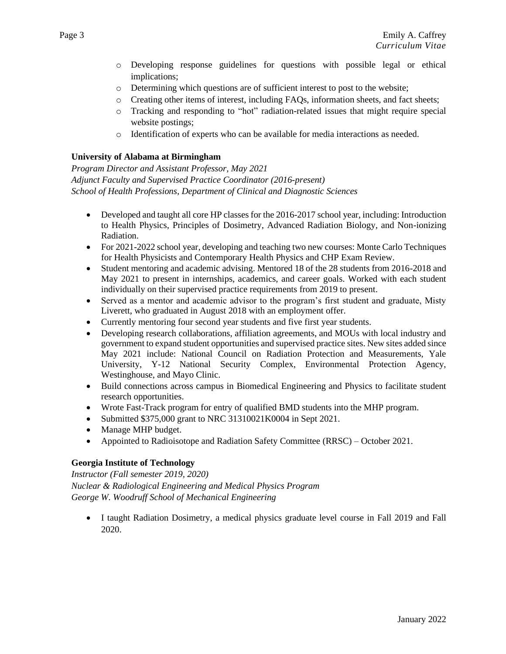- o Developing response guidelines for questions with possible legal or ethical implications;
- o Determining which questions are of sufficient interest to post to the website;
- o Creating other items of interest, including FAQs, information sheets, and fact sheets;
- o Tracking and responding to "hot" radiation-related issues that might require special website postings;
- o Identification of experts who can be available for media interactions as needed.

#### **University of Alabama at Birmingham**

*Program Director and Assistant Professor, May 2021 Adjunct Faculty and Supervised Practice Coordinator (2016-present) School of Health Professions, Department of Clinical and Diagnostic Sciences*

- Developed and taught all core HP classes for the 2016-2017 school year, including: Introduction to Health Physics, Principles of Dosimetry, Advanced Radiation Biology, and Non-ionizing Radiation.
- For 2021-2022 school year, developing and teaching two new courses: Monte Carlo Techniques for Health Physicists and Contemporary Health Physics and CHP Exam Review.
- Student mentoring and academic advising. Mentored 18 of the 28 students from 2016-2018 and May 2021 to present in internships, academics, and career goals. Worked with each student individually on their supervised practice requirements from 2019 to present.
- Served as a mentor and academic advisor to the program's first student and graduate, Misty Liverett, who graduated in August 2018 with an employment offer.
- Currently mentoring four second year students and five first year students.
- Developing research collaborations, affiliation agreements, and MOUs with local industry and government to expand student opportunities and supervised practice sites. New sites added since May 2021 include: National Council on Radiation Protection and Measurements, Yale University, Y-12 National Security Complex, Environmental Protection Agency, Westinghouse, and Mayo Clinic.
- Build connections across campus in Biomedical Engineering and Physics to facilitate student research opportunities.
- Wrote Fast-Track program for entry of qualified BMD students into the MHP program.
- Submitted \$375,000 grant to NRC 31310021K0004 in Sept 2021.
- Manage MHP budget.
- Appointed to Radioisotope and Radiation Safety Committee (RRSC) October 2021.

## **Georgia Institute of Technology**

*Instructor (Fall semester 2019, 2020) Nuclear & Radiological Engineering and Medical Physics Program George W. Woodruff School of Mechanical Engineering*

• I taught Radiation Dosimetry, a medical physics graduate level course in Fall 2019 and Fall 2020.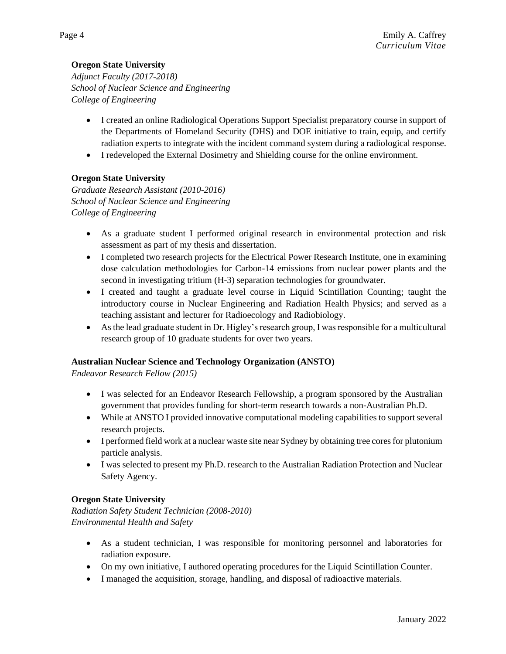# **Oregon State University**

*Adjunct Faculty (2017-2018) School of Nuclear Science and Engineering College of Engineering*

- I created an online Radiological Operations Support Specialist preparatory course in support of the Departments of Homeland Security (DHS) and DOE initiative to train, equip, and certify radiation experts to integrate with the incident command system during a radiological response.
- I redeveloped the External Dosimetry and Shielding course for the online environment.

## **Oregon State University**

*Graduate Research Assistant (2010-2016) School of Nuclear Science and Engineering College of Engineering*

- As a graduate student I performed original research in environmental protection and risk assessment as part of my thesis and dissertation.
- I completed two research projects for the Electrical Power Research Institute, one in examining dose calculation methodologies for Carbon-14 emissions from nuclear power plants and the second in investigating tritium (H-3) separation technologies for groundwater.
- I created and taught a graduate level course in Liquid Scintillation Counting; taught the introductory course in Nuclear Engineering and Radiation Health Physics; and served as a teaching assistant and lecturer for Radioecology and Radiobiology.
- As the lead graduate student in Dr. Higley's research group, I was responsible for a multicultural research group of 10 graduate students for over two years.

## **Australian Nuclear Science and Technology Organization (ANSTO)**

*Endeavor Research Fellow (2015)*

- I was selected for an Endeavor Research Fellowship, a program sponsored by the Australian government that provides funding for short-term research towards a non-Australian Ph.D.
- While at ANSTO I provided innovative computational modeling capabilities to support several research projects.
- I performed field work at a nuclear waste site near Sydney by obtaining tree cores for plutonium particle analysis.
- I was selected to present my Ph.D. research to the Australian Radiation Protection and Nuclear Safety Agency.

## **Oregon State University**

*Radiation Safety Student Technician (2008-2010) Environmental Health and Safety*

- As a student technician, I was responsible for monitoring personnel and laboratories for radiation exposure.
- On my own initiative, I authored operating procedures for the Liquid Scintillation Counter.
- I managed the acquisition, storage, handling, and disposal of radioactive materials.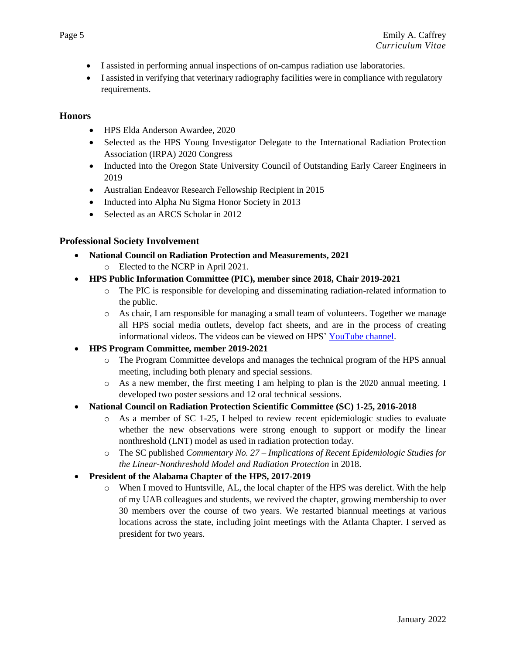- I assisted in performing annual inspections of on-campus radiation use laboratories.
- I assisted in verifying that veterinary radiography facilities were in compliance with regulatory requirements.

## **Honors**

- HPS Elda Anderson Awardee, 2020
- Selected as the HPS Young Investigator Delegate to the International Radiation Protection Association (IRPA) 2020 Congress
- Inducted into the Oregon State University Council of Outstanding Early Career Engineers in 2019
- Australian Endeavor Research Fellowship Recipient in 2015
- Inducted into Alpha Nu Sigma Honor Society in 2013
- Selected as an ARCS Scholar in 2012

# **Professional Society Involvement**

- **National Council on Radiation Protection and Measurements, 2021**
	- o Elected to the NCRP in April 2021.
- **HPS Public Information Committee (PIC), member since 2018, Chair 2019-2021**
	- o The PIC is responsible for developing and disseminating radiation-related information to the public.
	- o As chair, I am responsible for managing a small team of volunteers. Together we manage all HPS social media outlets, develop fact sheets, and are in the process of creating informational videos. The videos can be viewed on HPS' [YouTube channel.](http://www.youtube.com/channel/UCOWmRRcBHOAfxud3jmGAAUg/)
- **HPS Program Committee, member 2019-2021**
	- o The Program Committee develops and manages the technical program of the HPS annual meeting, including both plenary and special sessions.
	- o As a new member, the first meeting I am helping to plan is the 2020 annual meeting. I developed two poster sessions and 12 oral technical sessions.

#### • **National Council on Radiation Protection Scientific Committee (SC) 1-25, 2016-2018**

- o As a member of SC 1-25, I helped to review recent epidemiologic studies to evaluate whether the new observations were strong enough to support or modify the linear nonthreshold (LNT) model as used in radiation protection today.
- o The SC published *Commentary No. 27 – Implications of Recent Epidemiologic Studies for the Linear-Nonthreshold Model and Radiation Protection* in 2018.
- **President of the Alabama Chapter of the HPS, 2017-2019**
	- o When I moved to Huntsville, AL, the local chapter of the HPS was derelict. With the help of my UAB colleagues and students, we revived the chapter, growing membership to over 30 members over the course of two years. We restarted biannual meetings at various locations across the state, including joint meetings with the Atlanta Chapter. I served as president for two years.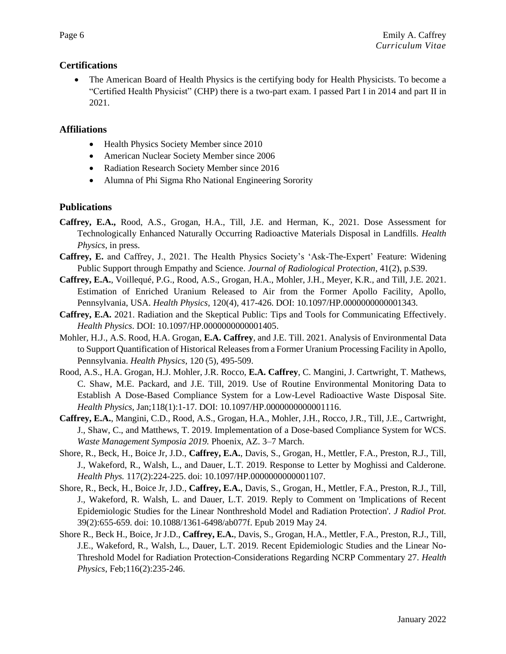## **Certifications**

• The American Board of Health Physics is the certifying body for Health Physicists. To become a "Certified Health Physicist" (CHP) there is a two-part exam. I passed Part I in 2014 and part II in 2021.

# **Affiliations**

- Health Physics Society Member since 2010
- American Nuclear Society Member since 2006
- Radiation Research Society Member since 2016
- Alumna of Phi Sigma Rho National Engineering Sorority

## **Publications**

- **Caffrey, E.A.,** Rood, A.S., Grogan, H.A., Till, J.E. and Herman, K., 2021. Dose Assessment for Technologically Enhanced Naturally Occurring Radioactive Materials Disposal in Landfills. *Health Physics*, in press.
- **Caffrey, E.** and Caffrey, J., 2021. The Health Physics Society's 'Ask-The-Expert' Feature: Widening Public Support through Empathy and Science. *Journal of Radiological Protection*, 41(2), p.S39.
- **Caffrey, E.A.**, Voillequé, P.G., Rood, A.S., Grogan, H.A., Mohler, J.H., Meyer, K.R., and Till, J.E. 2021. Estimation of Enriched Uranium Released to Air from the Former Apollo Facility, Apollo, Pennsylvania, USA. *Health Physics*, 120(4), 417-426. DOI: 10.1097/HP.0000000000001343.
- **Caffrey, E.A.** 2021. Radiation and the Skeptical Public: Tips and Tools for Communicating Effectively. *Health Physics*. DOI: 10.1097/HP.0000000000001405.
- Mohler, H.J., A.S. Rood, H.A. Grogan, **E.A. Caffrey**, and J.E. Till. 2021. Analysis of Environmental Data to Support Quantification of Historical Releases from a Former Uranium Processing Facility in Apollo, Pennsylvania. *Health Physics*, 120 (5), 495-509.
- Rood, A.S., H.A. Grogan, H.J. Mohler, J.R. Rocco, **E.A. Caffrey**, C. Mangini, J. Cartwright, T. Mathews, C. Shaw, M.E. Packard, and J.E. Till, 2019. Use of Routine Environmental Monitoring Data to Establish A Dose-Based Compliance System for a Low-Level Radioactive Waste Disposal Site. *Health Physics*, Jan;118(1):1-17. DOI: 10.1097/HP.0000000000001116.
- **Caffrey, E.A.**, Mangini, C.D., Rood, A.S., Grogan, H.A., Mohler, J.H., Rocco, J.R., Till, J.E., Cartwright, J., Shaw, C., and Matthews, T. 2019. Implementation of a Dose-based Compliance System for WCS. *Waste Management Symposia 2019.* Phoenix, AZ. 3–7 March.
- Shore, R., Beck, H., Boice Jr, J.D., **Caffrey, E.A.**, Davis, S., Grogan, H., Mettler, F.A., Preston, R.J., Till, J., Wakeford, R., Walsh, L., and Dauer, L.T. 2019. Response to Letter by Moghissi and Calderone. *Health Phys.* 117(2):224-225. doi: 10.1097/HP.0000000000001107.
- Shore, R., Beck, H., Boice Jr, J.D., **Caffrey, E.A.**, Davis, S., Grogan, H., Mettler, F.A., Preston, R.J., Till, J., Wakeford, R. Walsh, L. and Dauer, L.T. 2019. Reply to Comment on 'Implications of Recent Epidemiologic Studies for the Linear Nonthreshold Model and Radiation Protection'. *J Radiol Prot.* 39(2):655-659. doi: 10.1088/1361-6498/ab077f. Epub 2019 May 24.
- Shore R., Beck H., Boice, Jr J.D., **Caffrey, E.A.**, Davis, S., Grogan, H.A., Mettler, F.A., Preston, R.J., Till, J.E., Wakeford, R., Walsh, L., Dauer, L.T. 2019. Recent Epidemiologic Studies and the Linear No-Threshold Model for Radiation Protection-Considerations Regarding NCRP Commentary 27. *Health Physics*, Feb;116(2):235-246.